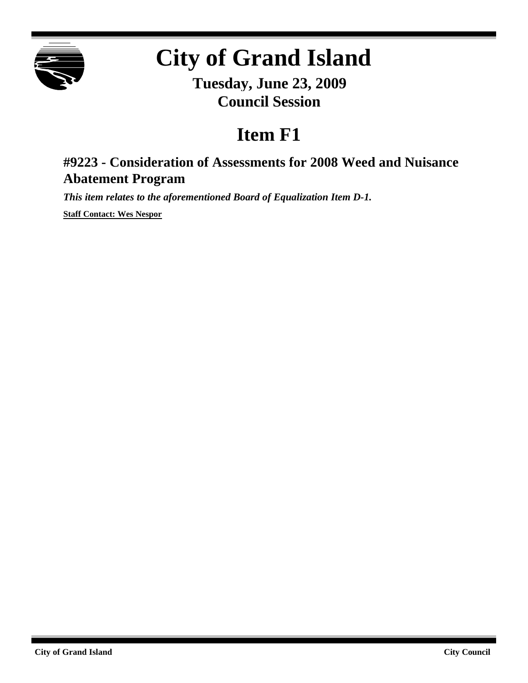

# **City of Grand Island**

**Tuesday, June 23, 2009 Council Session**

## **Item F1**

### **#9223 - Consideration of Assessments for 2008 Weed and Nuisance Abatement Program**

*This item relates to the aforementioned Board of Equalization Item D-1.*

**Staff Contact: Wes Nespor**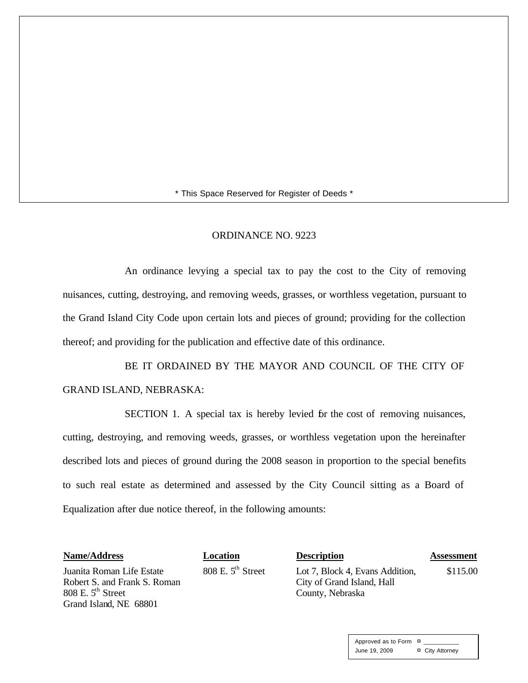\* This Space Reserved for Register of Deeds \*

#### ORDINANCE NO. 9223

An ordinance levying a special tax to pay the cost to the City of removing nuisances, cutting, destroying, and removing weeds, grasses, or worthless vegetation, pursuant to the Grand Island City Code upon certain lots and pieces of ground; providing for the collection thereof; and providing for the publication and effective date of this ordinance.

BE IT ORDAINED BY THE MAYOR AND COUNCIL OF THE CITY OF GRAND ISLAND, NEBRASKA:

SECTION 1. A special tax is hereby levied for the cost of removing nuisances, cutting, destroying, and removing weeds, grasses, or worthless vegetation upon the hereinafter described lots and pieces of ground during the 2008 season in proportion to the special benefits to such real estate as determined and assessed by the City Council sitting as a Board of Equalization after due notice thereof, in the following amounts:

| <b>Name/Address</b>                                                                                          | Location                      | <b>Description</b>                                                                | <b>Assessment</b> |
|--------------------------------------------------------------------------------------------------------------|-------------------------------|-----------------------------------------------------------------------------------|-------------------|
| Juanita Roman Life Estate<br>Robert S. and Frank S. Roman<br>$808$ E. $5th$ Street<br>Grand Island, NE 68801 | 808 E. $5^{\text{th}}$ Street | Lot 7, Block 4, Evans Addition,<br>City of Grand Island, Hall<br>County, Nebraska | \$115.00          |

Approved as to Form  $\overline{a}$ June 19, 2009 **¤** City Attorney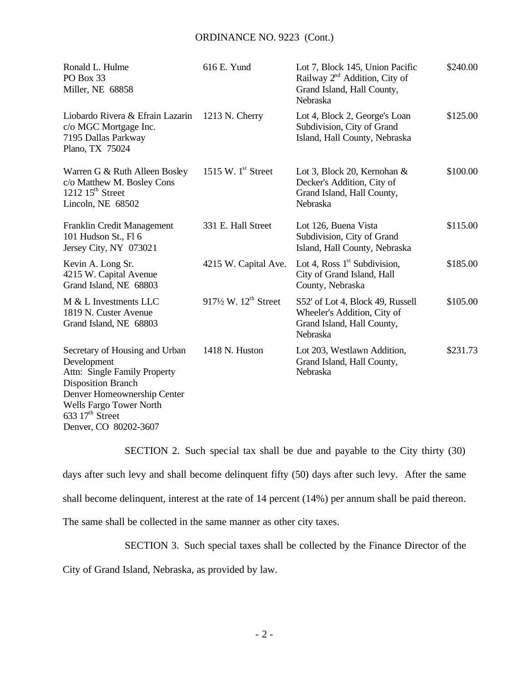#### ORDINANCE NO. 9223 (Cont.)

| Ronald L. Hulme<br>PO Box 33<br>Miller, NE 68858                                                                                                                                                                   | 616 E. Yund                                 | Lot 7, Block 145, Union Pacific<br>Railway 2 <sup>nd</sup> Addition, City of<br>Grand Island, Hall County,<br>Nebraska | \$240.00 |
|--------------------------------------------------------------------------------------------------------------------------------------------------------------------------------------------------------------------|---------------------------------------------|------------------------------------------------------------------------------------------------------------------------|----------|
| Liobardo Rivera & Efrain Lazarin<br>c/o MGC Mortgage Inc.<br>7195 Dallas Parkway<br>Plano, TX 75024                                                                                                                | $1213$ N. Cherry                            | Lot 4, Block 2, George's Loan<br>Subdivision, City of Grand<br>Island, Hall County, Nebraska                           | \$125.00 |
| Warren G & Ruth Alleen Bosley<br>c/o Matthew M. Bosley Cons<br>1212 $15th$ Street<br>Lincoln, NE 68502                                                                                                             | 1515 W. $1st$ Street                        | Lot 3, Block 20, Kernohan &<br>Decker's Addition, City of<br>Grand Island, Hall County,<br>Nebraska                    | \$100.00 |
| Franklin Credit Management<br>101 Hudson St., Fl 6<br>Jersey City, NY 073021                                                                                                                                       | 331 E. Hall Street                          | Lot 126, Buena Vista<br>Subdivision, City of Grand<br>Island, Hall County, Nebraska                                    | \$115.00 |
| Kevin A. Long Sr.<br>4215 W. Capital Avenue<br>Grand Island, NE 68803                                                                                                                                              | 4215 W. Capital Ave.                        | Lot 4, Ross $1st$ Subdivision,<br>City of Grand Island, Hall<br>County, Nebraska                                       | \$185.00 |
| M & L Investments LLC<br>1819 N. Custer Avenue<br>Grand Island, NE 68803                                                                                                                                           | $917\frac{1}{2}$ W. $12^{\text{th}}$ Street | S52' of Lot 4, Block 49, Russell<br>Wheeler's Addition, City of<br>Grand Island, Hall County,<br>Nebraska              | \$105.00 |
| Secretary of Housing and Urban<br>Development<br>Attn: Single Family Property<br><b>Disposition Branch</b><br>Denver Homeownership Center<br>Wells Fargo Tower North<br>633 $17th$ Street<br>Denver, CO 80202-3607 | 1418 N. Huston                              | Lot 203, Westlawn Addition,<br>Grand Island, Hall County,<br>Nebraska                                                  | \$231.73 |

SECTION 2. Such special tax shall be due and payable to the City thirty (30) days after such levy and shall become delinquent fifty (50) days after such levy. After the same shall become delinquent, interest at the rate of 14 percent (14%) per annum shall be paid thereon. The same shall be collected in the same manner as other city taxes.

SECTION 3. Such special taxes shall be collected by the Finance Director of the

City of Grand Island, Nebraska, as provided by law.